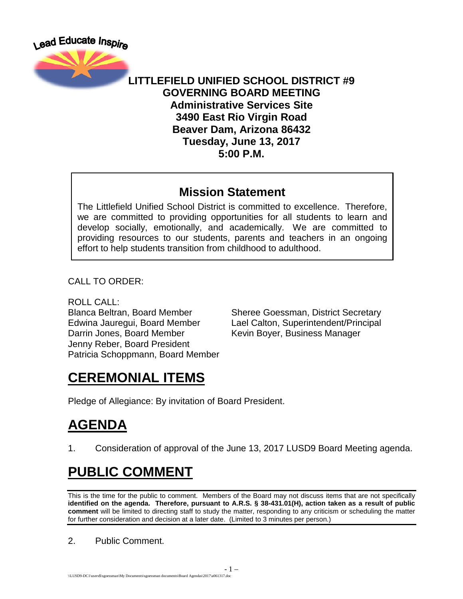Lead Educate Inspire



#### **LITTLEFIELD UNIFIED SCHOOL DISTRICT #9 GOVERNING BOARD MEETING Administrative Services Site 3490 East Rio Virgin Road Beaver Dam, Arizona 86432 Tuesday, June 13, 2017 5:00 P.M.**

#### **Mission Statement**

The Littlefield Unified School District is committed to excellence. Therefore, we are committed to providing opportunities for all students to learn and develop socially, emotionally, and academically. We are committed to providing resources to our students, parents and teachers in an ongoing effort to help students transition from childhood to adulthood.

CALL TO ORDER:

ROLL CALL:

Darrin Jones, Board Member Kevin Boyer, Business Manager Jenny Reber, Board President Patricia Schoppmann, Board Member

Blanca Beltran, Board Member Sheree Goessman, District Secretary Edwina Jauregui, Board Member Lael Calton, Superintendent/Principal

## **CEREMONIAL ITEMS**

Pledge of Allegiance: By invitation of Board President.

# **AGENDA**

1. Consideration of approval of the June 13, 2017 LUSD9 Board Meeting agenda.

## **PUBLIC COMMENT**

This is the time for the public to comment. Members of the Board may not discuss items that are not specifically **identified on the agenda. Therefore, pursuant to A.R.S. § 38-431.01(H), action taken as a result of public comment** will be limited to directing staff to study the matter, responding to any criticism or scheduling the matter for further consideration and decision at a later date. (Limited to 3 minutes per person.)

2. Public Comment.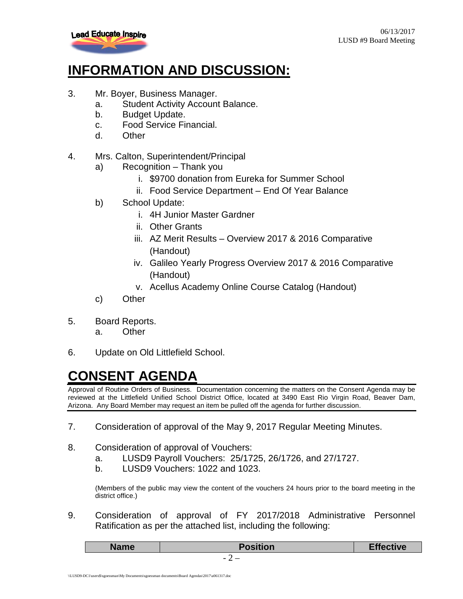

#### **INFORMATION AND DISCUSSION:**

- 3. Mr. Boyer, Business Manager.
	- a. Student Activity Account Balance.
	- b. Budget Update.
	- c. Food Service Financial.
	- d. Other
- 4. Mrs. Calton, Superintendent/Principal
	- a) Recognition Thank you
		- i. \$9700 donation from Eureka for Summer School
		- ii. Food Service Department End Of Year Balance
	- b) School Update:
		- i. 4H Junior Master Gardner
		- ii. Other Grants
		- iii. AZ Merit Results Overview 2017 & 2016 Comparative (Handout)
		- iv. Galileo Yearly Progress Overview 2017 & 2016 Comparative (Handout)
		- v. Acellus Academy Online Course Catalog (Handout)
	- c) Other
- 5. Board Reports.
	- a. Other
- 6. Update on Old Littlefield School.

## **CONSENT AGENDA**

Approval of Routine Orders of Business. Documentation concerning the matters on the Consent Agenda may be reviewed at the Littlefield Unified School District Office, located at 3490 East Rio Virgin Road, Beaver Dam, Arizona. Any Board Member may request an item be pulled off the agenda for further discussion.

- 7. Consideration of approval of the May 9, 2017 Regular Meeting Minutes.
- 8. Consideration of approval of Vouchers:
	- a. LUSD9 Payroll Vouchers: 25/1725, 26/1726, and 27/1727.
	- b. LUSD9 Vouchers: 1022 and 1023.

(Members of the public may view the content of the vouchers 24 hours prior to the board meeting in the district office.)

9. Consideration of approval of FY 2017/2018 Administrative Personnel Ratification as per the attached list, including the following:

| <b>Name</b> | <b>Position</b>                                      | <b>Effective</b> |
|-------------|------------------------------------------------------|------------------|
|             | $\overline{\phantom{a}}$<br>$\overline{\phantom{0}}$ |                  |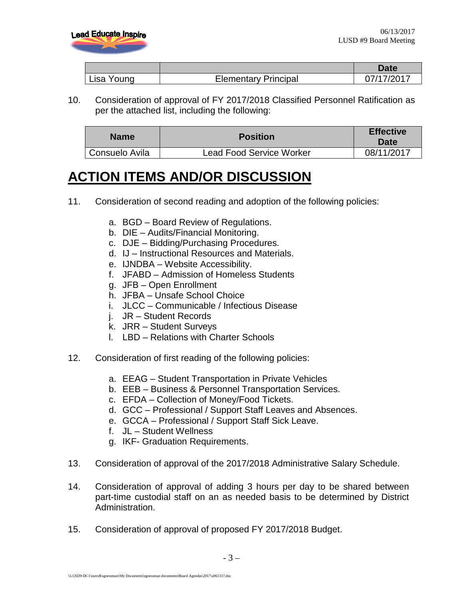

|            |                             | Date       |
|------------|-----------------------------|------------|
| Lisa Young | <b>Elementary Principal</b> | 07/17/2017 |

10. Consideration of approval of FY 2017/2018 Classified Personnel Ratification as per the attached list, including the following:

| <b>Name</b>    | <b>Position</b>                 | <b>Effective</b><br>Date |
|----------------|---------------------------------|--------------------------|
| Consuelo Avila | <b>Lead Food Service Worker</b> | 08/11/2017               |

#### **ACTION ITEMS AND/OR DISCUSSION**

- 11. Consideration of second reading and adoption of the following policies:
	- a. BGD Board Review of Regulations.
	- b. DIE Audits/Financial Monitoring.
	- c. DJE Bidding/Purchasing Procedures.
	- d. IJ Instructional Resources and Materials.
	- e. IJNDBA Website Accessibility.
	- f. JFABD Admission of Homeless Students
	- g. JFB Open Enrollment
	- h. JFBA Unsafe School Choice
	- i. JLCC Communicable / Infectious Disease
	- j. JR Student Records
	- k. JRR Student Surveys
	- l. LBD Relations with Charter Schools
- 12. Consideration of first reading of the following policies:
	- a. EEAG Student Transportation in Private Vehicles
	- b. EEB Business & Personnel Transportation Services.
	- c. EFDA Collection of Money/Food Tickets.
	- d. GCC Professional / Support Staff Leaves and Absences.
	- e. GCCA Professional / Support Staff Sick Leave.
	- f. JL Student Wellness
	- g. IKF- Graduation Requirements.
- 13. Consideration of approval of the 2017/2018 Administrative Salary Schedule.
- 14. Consideration of approval of adding 3 hours per day to be shared between part-time custodial staff on an as needed basis to be determined by District Administration.
- 15. Consideration of approval of proposed FY 2017/2018 Budget.